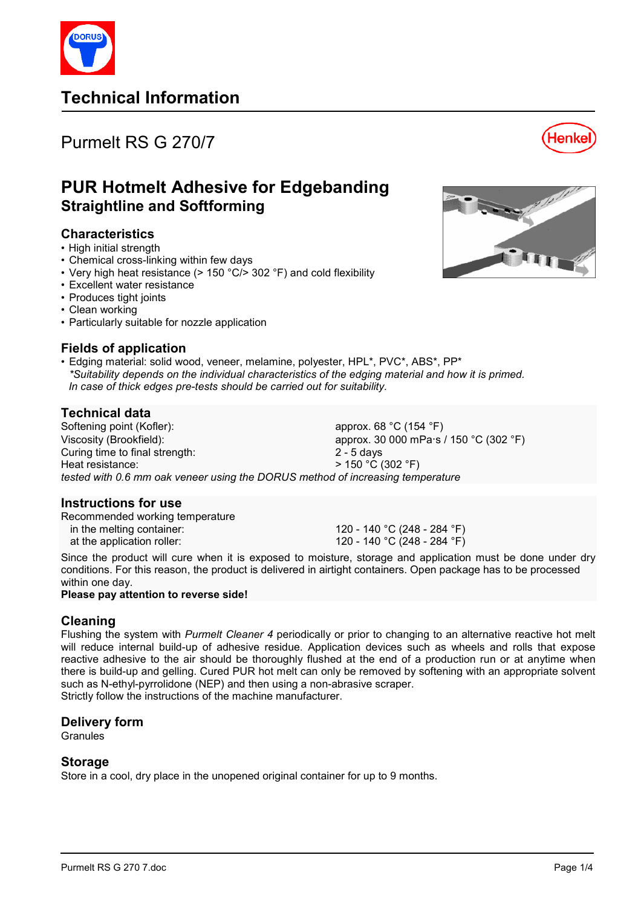

# **Technical Information**

# Purmelt RS G 270/7



# **PUR Hotmelt Adhesive for Edgebanding Straightline and Softforming**

## **Characteristics**

- High initial strength
- Chemical cross-linking within few days
- Very high heat resistance ( $> 150$  °C/ $> 302$  °F) and cold flexibility
- Excellent water resistance
- Produces tight joints
- Clean working
- Particularly suitable for nozzle application

# **Fields of application**

• Edging material: solid wood, veneer, melamine, polyester, HPL\*, PVC\*, ABS\*, PP\* *\*Suitability depends on the individual characteristics of the edging material and how it is primed. In case of thick edges pre-tests should be carried out for suitability.* 

## **Technical data**

Softening point (Kofler): approx. 68 °C (154 °F) Viscosity (Brookfield): approx. 30 000 mPa·s / 150 °C (302 °F) Curing time to final strength: 2 - 5 days Heat resistance:  $\overline{ }$   $>$  150 °C (302 °F) *tested with 0.6 mm oak veneer using the DORUS method of increasing temperature* 

## **Instructions for use**

Recommended working temperature

in the melting container:  $120 - 140 \degree C (248 - 284 \degree F)$ at the application roller:  $120 - 140 \degree C (248 - 284 \degree F)$ 

Since the product will cure when it is exposed to moisture, storage and application must be done under dry conditions. For this reason, the product is delivered in airtight containers. Open package has to be processed within one day.

### **Please pay attention to reverse side!**

## **Cleaning**

Flushing the system with *Purmelt Cleaner 4* periodically or prior to changing to an alternative reactive hot melt will reduce internal build-up of adhesive residue. Application devices such as wheels and rolls that expose reactive adhesive to the air should be thoroughly flushed at the end of a production run or at anytime when there is build-up and gelling. Cured PUR hot melt can only be removed by softening with an appropriate solvent such as N-ethyl-pyrrolidone (NEP) and then using a non-abrasive scraper. Strictly follow the instructions of the machine manufacturer.

## **Delivery form**

Granules

## **Storage**

Store in a cool, dry place in the unopened original container for up to 9 months.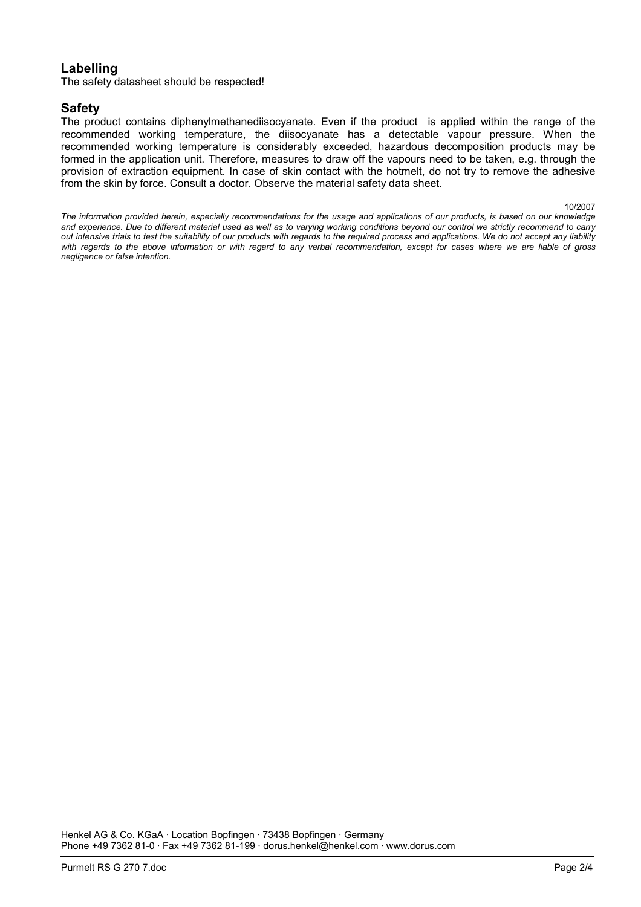## **Labelling**

The safety datasheet should be respected!

### **Safety**

The product contains diphenylmethanediisocyanate. Even if the product is applied within the range of the recommended working temperature, the diisocyanate has a detectable vapour pressure. When the recommended working temperature is considerably exceeded, hazardous decomposition products may be formed in the application unit. Therefore, measures to draw off the vapours need to be taken, e.g. through the provision of extraction equipment. In case of skin contact with the hotmelt, do not try to remove the adhesive from the skin by force. Consult a doctor. Observe the material safety data sheet.

10/2007

*The information provided herein, especially recommendations for the usage and applications of our products, is based on our knowledge and experience. Due to different material used as well as to varying working conditions beyond our control we strictly recommend to carry out intensive trials to test the suitability of our products with regards to the required process and applications. We do not accept any liability with regards to the above information or with regard to any verbal recommendation, except for cases where we are liable of gross negligence or false intention.*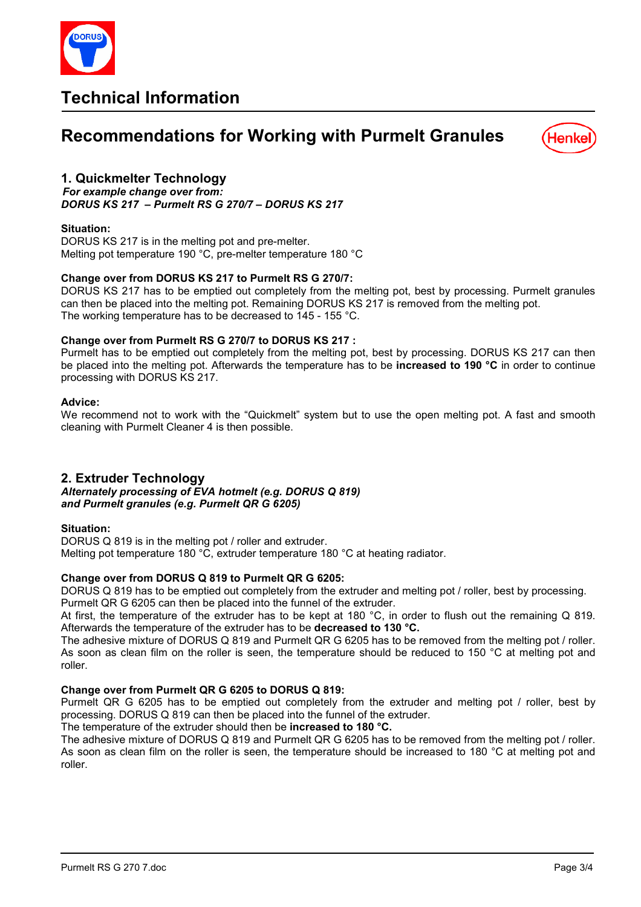

# **Technical Information**

# **Recommendations for Working with Purmelt Granules**



## **1. Quickmelter Technology**

*For example change over from: DORUS KS 217 – Purmelt RS G 270/7 – DORUS KS 217* 

### **Situation:**

DORUS KS 217 is in the melting pot and pre-melter. Melting pot temperature 190 °C, pre-melter temperature 180 °C

### **Change over from DORUS KS 217 to Purmelt RS G 270/7:**

DORUS KS 217 has to be emptied out completely from the melting pot, best by processing. Purmelt granules can then be placed into the melting pot. Remaining DORUS KS 217 is removed from the melting pot. The working temperature has to be decreased to 145 - 155 °C.

### **Change over from Purmelt RS G 270/7 to DORUS KS 217 :**

Purmelt has to be emptied out completely from the melting pot, best by processing. DORUS KS 217 can then be placed into the melting pot. Afterwards the temperature has to be **increased to 190 °C** in order to continue processing with DORUS KS 217.

### **Advice:**

We recommend not to work with the "Quickmelt" system but to use the open melting pot. A fast and smooth cleaning with Purmelt Cleaner 4 is then possible.

## **2. Extruder Technology**

*Alternately processing of EVA hotmelt (e.g. DORUS Q 819) and Purmelt granules (e.g. Purmelt QR G 6205)* 

### **Situation:**

DORUS Q 819 is in the melting pot / roller and extruder. Melting pot temperature 180 °C, extruder temperature 180 °C at heating radiator.

### **Change over from DORUS Q 819 to Purmelt QR G 6205:**

DORUS Q 819 has to be emptied out completely from the extruder and melting pot / roller, best by processing. Purmelt QR G 6205 can then be placed into the funnel of the extruder.

At first, the temperature of the extruder has to be kept at 180 °C, in order to flush out the remaining Q 819. Afterwards the temperature of the extruder has to be **decreased to 130 °C.**

The adhesive mixture of DORUS Q 819 and Purmelt QR G 6205 has to be removed from the melting pot / roller. As soon as clean film on the roller is seen, the temperature should be reduced to 150 °C at melting pot and roller.

### **Change over from Purmelt QR G 6205 to DORUS Q 819:**

Purmelt QR G 6205 has to be emptied out completely from the extruder and melting pot / roller, best by processing. DORUS Q 819 can then be placed into the funnel of the extruder.

The temperature of the extruder should then be **increased to 180 °C.** 

The adhesive mixture of DORUS Q 819 and Purmelt QR G 6205 has to be removed from the melting pot / roller. As soon as clean film on the roller is seen, the temperature should be increased to 180 °C at melting pot and roller.